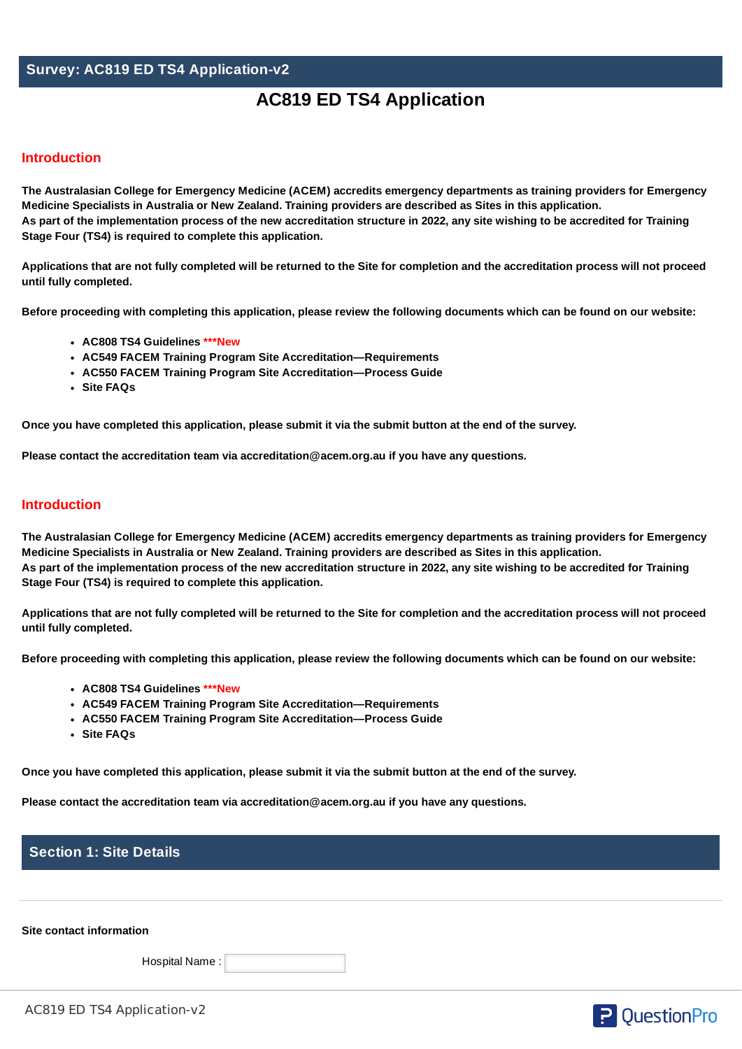# **Survey: AC819 ED TS4 Application-v2**

# **AC819 ED TS4 Application**

## **Introduction**

The Australasian College for Emergency Medicine (ACEM) accredits emergency departments as training providers for Emergency **Medicine Specialists in Australia or New Zealand. Training providers are described as Sites in this application.** As part of the implementation process of the new accreditation structure in 2022, any site wishing to be accredited for Training **Stage Four (TS4) is required to complete this application.**

Applications that are not fully completed will be returned to the Site for completion and the accreditation process will not proceed **until fully completed.**

Before proceeding with completing this application, please review the following documents which can be found on our [website:](https://acem.org.au/Content-Sources/Training/Training-site-accreditation)

- **AC808 TS4 Guidelines \*\*\*New**
- **AC549 FACEM Training Program Site Accreditation—Requirements**
- **AC550 FACEM Training Program Site Accreditation—Process Guide**
- **Site FAQs**

Once you have completed this application, please submit it via the submit button at the end of the survey.

**Please contact the accreditation team via [accreditation@acem.org.au](mailto:accreditation@acem.org.au) if you have any questions.**

## **Introduction**

The Australasian College for Emergency Medicine (ACEM) accredits emergency departments as training providers for Emergency **Medicine Specialists in Australia or New Zealand. Training providers are described as Sites in this application.** As part of the implementation process of the new accreditation structure in 2022, any site wishing to be accredited for Training **Stage Four (TS4) is required to complete this application.**

Applications that are not fully completed will be returned to the Site for completion and the accreditation process will not proceed **until fully completed.**

Before proceeding with completing this application, please review the following documents which can be found on our [website:](https://acem.org.au/Content-Sources/Training/Training-site-accreditation)

- **AC808 TS4 Guidelines \*\*\*New**
- **AC549 FACEM Training Program Site Accreditation—Requirements**
- **AC550 FACEM Training Program Site Accreditation—Process Guide**
- **Site FAQs**

Once you have completed this application, please submit it via the submit button at the end of the survey.

**Please contact the accreditation team via [accreditation@acem.org.au](mailto:accreditation@acem.org.au) if you have any questions.**

# **Section 1: Site Details**

**Site contact information**

Hospital Name :

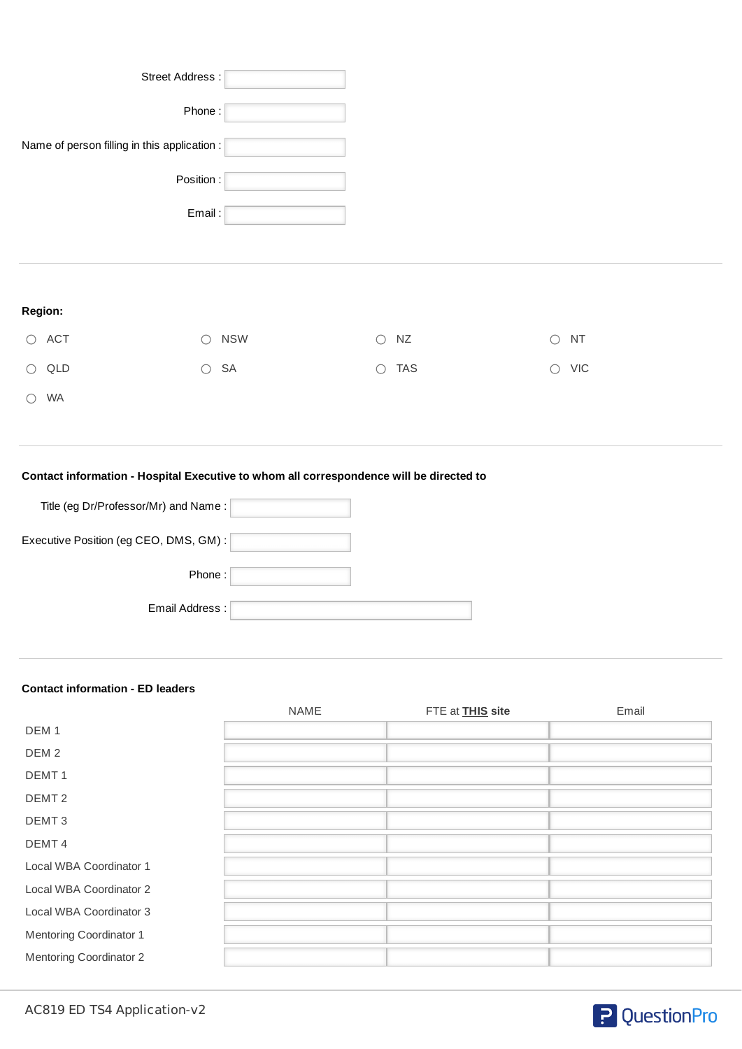| Street Address:                                      |            |                          |                         |
|------------------------------------------------------|------------|--------------------------|-------------------------|
| Phone:                                               |            |                          |                         |
| Name of person filling in this application : $\vert$ |            |                          |                         |
| Position:                                            |            |                          |                         |
| Email:                                               |            |                          |                         |
|                                                      |            |                          |                         |
|                                                      |            |                          |                         |
| Region:                                              |            |                          |                         |
| ACT<br>$\bigcirc$<br>$\bigcirc$                      | <b>NSW</b> | $\bigcirc$<br>${\sf NZ}$ | $\bigcirc$<br><b>NT</b> |
| $\bigcirc$<br>QLD<br>$\bigcirc$                      | SA         | <b>TAS</b><br>$\bigcirc$ | $\bigcirc$ VIC          |
| WA<br>∩                                              |            |                          |                         |
|                                                      |            |                          |                         |

# **Contact information - Hospital Executive to whom all correspondence will be directed to**

| Title (eg Dr/Professor/Mr) and Name:   |  |
|----------------------------------------|--|
| Executive Position (eg CEO, DMS, GM) : |  |
| Phone:                                 |  |
| Email Address:                         |  |

### **Contact information - ED leaders**

|                         | <b>NAME</b> | FTE at <b>THIS</b> site | Email |
|-------------------------|-------------|-------------------------|-------|
| DEM <sub>1</sub>        |             |                         |       |
| DEM <sub>2</sub>        |             |                         |       |
| DEMT <sub>1</sub>       |             |                         |       |
| DEMT <sub>2</sub>       |             |                         |       |
| DEMT <sub>3</sub>       |             |                         |       |
| DEMT <sub>4</sub>       |             |                         |       |
| Local WBA Coordinator 1 |             |                         |       |
| Local WBA Coordinator 2 |             |                         |       |
| Local WBA Coordinator 3 |             |                         |       |
| Mentoring Coordinator 1 |             |                         |       |
| Mentoring Coordinator 2 |             |                         |       |

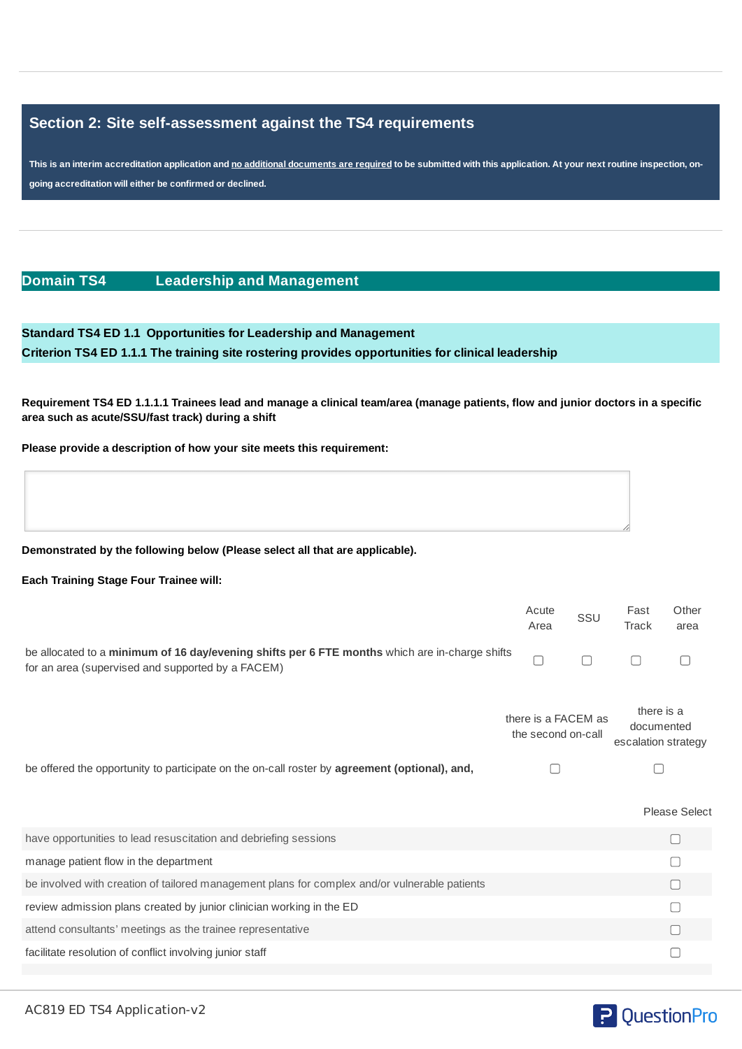# **Section 2: Site self-assessment against the TS4 requirements**

This is an interim accreditation application and no additional documents are required to be submitted with this application. At your next routine inspection, on**going accreditation will either be confirmed or declined.**

## **Domain TS4 Leadership and Management**

**Standard TS4 ED 1.1 Opportunities for Leadership and Management Criterion TS4 ED 1.1.1 The training site rostering provides opportunities for clinical leadership**

Requirement TS4 ED 1.1.1.1 Trainees lead and manage a clinical team/area (manage patients, flow and junior doctors in a specific **area such as acute/SSU/fast track) during a shift**

**Please provide a description of how your site meets this requirement:**

#### **Demonstrated by the following below (Please select all that are applicable).**

#### **Each Training Stage Four Trainee will:**

|                                                                                                                                                     | Acute<br>Area | SSU                                       | Fast<br>Track                                   | Other<br>area |
|-----------------------------------------------------------------------------------------------------------------------------------------------------|---------------|-------------------------------------------|-------------------------------------------------|---------------|
| be allocated to a minimum of 16 day/evening shifts per 6 FTE months which are in-charge shifts<br>for an area (supervised and supported by a FACEM) |               |                                           |                                                 |               |
|                                                                                                                                                     |               | there is a FACEM as<br>the second on-call | there is a<br>documented<br>escalation strategy |               |
| be offered the opportunity to participate on the on-call roster by <b>agreement (optional), and,</b>                                                |               |                                           |                                                 |               |
|                                                                                                                                                     |               |                                           |                                                 | Please Select |
| have opportunities to lead resuscitation and debriefing sessions                                                                                    |               |                                           |                                                 |               |
| manage patient flow in the department                                                                                                               |               |                                           |                                                 |               |
| be involved with creation of tailored management plans for complex and/or vulnerable patients                                                       |               |                                           |                                                 |               |
| review admission plans created by junior clinician working in the ED                                                                                |               |                                           |                                                 |               |
| attend consultants' meetings as the trainee representative                                                                                          |               |                                           |                                                 |               |

facilitate resolution of conflict involving junior staff



# **P** QuestionPro

 $\Box$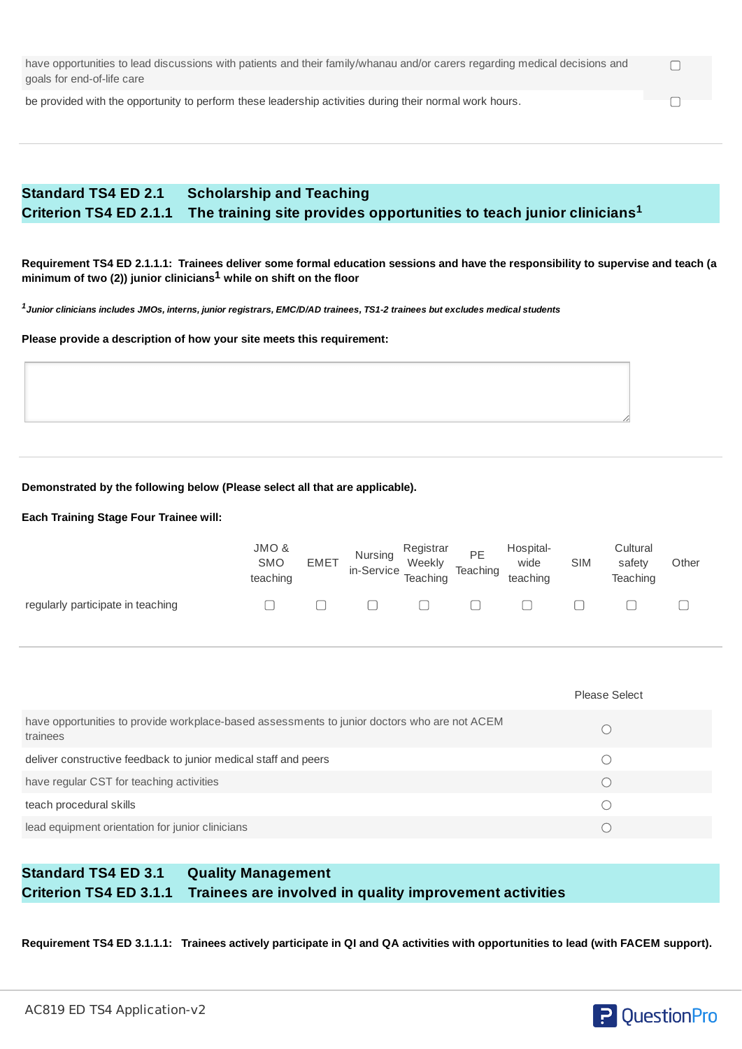| have opportunities to lead discussions with patients and their family/whanau and/or carers regarding medical decisions and |  |
|----------------------------------------------------------------------------------------------------------------------------|--|
| goals for end-of-life care                                                                                                 |  |

be provided with the opportunity to perform these leadership activities during their normal work hours.

# **Standard TS4 ED 2.1 Scholarship and Teaching Criterion TS4 ED 2.1.1 The training site provides opportunities to teach junior clinicians 1**

Requirement TS4 ED 2.1.1.1: Trainees deliver some formal education sessions and have the responsibility to supervise and teach (a **minimum of two (2)) junior clinicians while on shift on the floor 1**

 $^{\rm 1}$ Junior clinicians includes JMOs, interns, junior registrars, EMC/D/AD trainees, TS1-2 trainees but excludes medical students

**Please provide a description of how your site meets this requirement:**

## **Demonstrated by the following below (Please select all that are applicable).**

#### **Each Training Stage Four Trainee will:**

|                                   | JMO &<br><b>SMO</b><br>teaching | <b>EMET</b> | <b>Nursing</b><br>in-Service Teaching | Registrar<br>Weekly | PE<br>Teaching | Hospital-<br>wide<br>teaching | <b>SIM</b> | Cultural<br>safety<br>Teaching | Other |
|-----------------------------------|---------------------------------|-------------|---------------------------------------|---------------------|----------------|-------------------------------|------------|--------------------------------|-------|
| regularly participate in teaching |                                 |             |                                       | $\Box$              |                |                               |            |                                |       |

|                                                                                                          | Please Select |
|----------------------------------------------------------------------------------------------------------|---------------|
| have opportunities to provide workplace-based assessments to junior doctors who are not ACEM<br>trainees |               |
| deliver constructive feedback to junior medical staff and peers                                          |               |
| have regular CST for teaching activities                                                                 |               |
| teach procedural skills                                                                                  |               |
| lead equipment orientation for junior clinicians                                                         |               |

# **Standard TS4 ED 3.1 Quality Management Criterion TS4 ED 3.1.1 Trainees are involved in quality improvement activities**

Requirement TS4 ED 3.1.1.1: Trainees actively participate in QI and QA activities with opportunities to lead (with FACEM support).